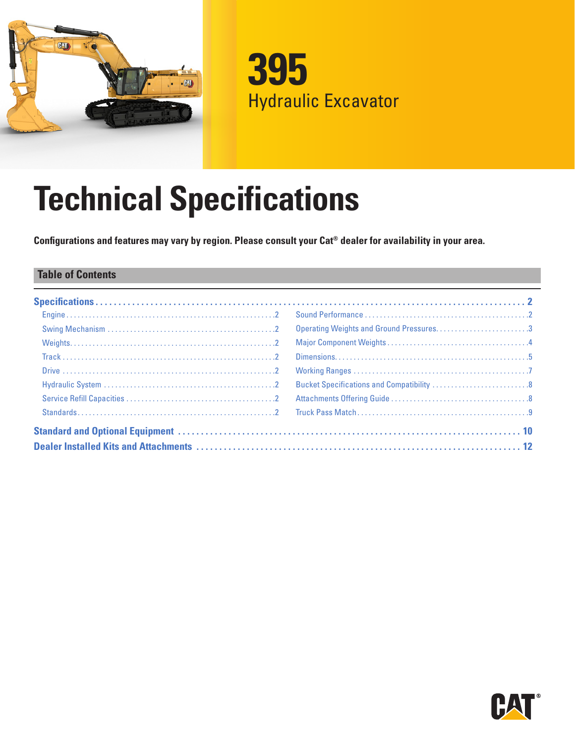

**395** Hydraulic Excavator

# **Technical Specifications**

**Configurations and features may vary by region. Please consult your Cat® dealer for availability in your area.**

# **Table of Contents**

| Operating Weights and Ground Pressures3 |
|-----------------------------------------|
|                                         |
|                                         |
|                                         |
|                                         |
|                                         |
|                                         |
|                                         |
|                                         |

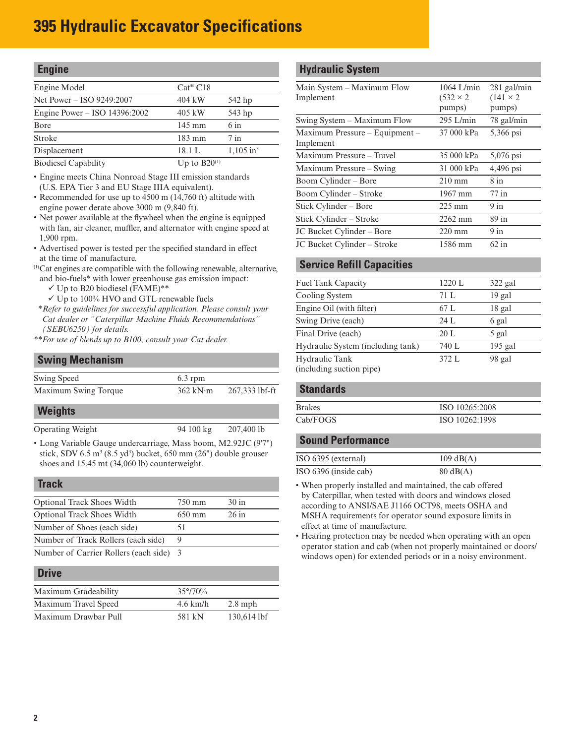# <span id="page-1-0"></span>**395 Hydraulic Excavator Specifications**

| <b>Engine</b>                                                    |                                                                                                                                                                                                                                                                                                                                    |                         |
|------------------------------------------------------------------|------------------------------------------------------------------------------------------------------------------------------------------------------------------------------------------------------------------------------------------------------------------------------------------------------------------------------------|-------------------------|
| Engine Model                                                     | $Cat^{\circledR}$ C18                                                                                                                                                                                                                                                                                                              |                         |
| Net Power – ISO 9249:2007                                        | 404 kW                                                                                                                                                                                                                                                                                                                             | 542 hp                  |
| Engine Power – ISO $14396:2002$                                  | $405$ kW                                                                                                                                                                                                                                                                                                                           | 543 hp                  |
| Bore                                                             | $145 \text{ mm}$                                                                                                                                                                                                                                                                                                                   | $6 \text{ in}$          |
| Stroke                                                           | 183 mm                                                                                                                                                                                                                                                                                                                             | 7 in                    |
| Displacement                                                     | 18.1 L                                                                                                                                                                                                                                                                                                                             | $1,105$ in <sup>3</sup> |
| $\mathbf{r}$ , and the set of the set of the set of $\mathbf{r}$ | $\mathbf{v}$ $\mathbf{v}$ $\mathbf{v}$ $\mathbf{v}$ $\mathbf{v}$ $\mathbf{v}$ $\mathbf{v}$ $\mathbf{v}$ $\mathbf{v}$ $\mathbf{v}$ $\mathbf{v}$ $\mathbf{v}$ $\mathbf{v}$ $\mathbf{v}$ $\mathbf{v}$ $\mathbf{v}$ $\mathbf{v}$ $\mathbf{v}$ $\mathbf{v}$ $\mathbf{v}$ $\mathbf{v}$ $\mathbf{v}$ $\mathbf{v}$ $\mathbf{v}$ $\mathbf{$ |                         |

Biodiesel Capability  $Up to B20^{(1)}$ 

• Engine meets China Nonroad Stage III emission standards (U.S. EPA Tier 3 and EU Stage IIIA equivalent).

- Recommended for use up to 4500 m (14,760 ft) altitude with engine power derate above 3000 m (9,840 ft).
- Net power available at the flywheel when the engine is equipped with fan, air cleaner, muffler, and alternator with engine speed at 1,900 rpm.
- Advertised power is tested per the specified standard in effect at the time of manufacture.
- (1)Cat engines are compatible with the following renewable, alternative, and bio-fuels\* with lower greenhouse gas emission impact:
	- $\checkmark$  Up to B20 biodiesel (FAME)\*\*
	- $\checkmark$  Up to 100% HVO and GTL renewable fuels
- *\*\*Refer to guidelines for successful application. Please consult your Cat dealer or "Caterpillar Machine Fluids Recommendations" (SEBU6250) for details.*
- *\*\*For use of blends up to B100, consult your Cat dealer.*

### **Swing Mechanism**

| $6.3$ rpm                       |                |
|---------------------------------|----------------|
| $362 \text{ kN} \cdot \text{m}$ | 267,333 lbf-ft |
|                                 |                |

### **Weights**

| <b>Operating Weight</b> | 94 100 kg | 207,400 lb |
|-------------------------|-----------|------------|
|                         |           |            |

• Long Variable Gauge undercarriage, Mass boom, M2.92JC (9'7") stick, SDV  $6.5 \text{ m}^3$   $(8.5 \text{ yd}^3)$  bucket,  $650 \text{ mm}$   $(26")$  double grouser shoes and 15.45 mt (34,060 lb) counterweight.

#### **Track**

| <b>Optional Track Shoes Width</b>       | 750 mm           | 30 in   |
|-----------------------------------------|------------------|---------|
| <b>Optional Track Shoes Width</b>       | $650 \text{ mm}$ | $26$ in |
| Number of Shoes (each side)             | 51               |         |
| Number of Track Rollers (each side)     | 9                |         |
| Number of Carrier Rollers (each side) 3 |                  |         |

#### **Drive**

| Maximum Gradeability | $35^{\circ}/70\%$  |               |
|----------------------|--------------------|---------------|
| Maximum Travel Speed | $4.6 \text{ km/h}$ | $2.8$ mph     |
| Maximum Drawbar Pull | 581 kN             | $130,614$ lbf |

#### **Hydraulic System**

| Main System - Maximum Flow     | 1064 L/min       | 281 gal/min      |
|--------------------------------|------------------|------------------|
| Implement                      | $(532 \times 2)$ | $(141 \times 2)$ |
|                                | pumps)           | pumps)           |
| Swing System – Maximum Flow    | $295$ L/min      | 78 gal/min       |
| Maximum Pressure - Equipment - | 37 000 kPa       | 5,366 psi        |
| Implement                      |                  |                  |
| Maximum Pressure - Travel      | 35 000 kPa       | 5,076 psi        |
| Maximum Pressure – Swing       | 31 000 kPa       | 4,496 psi        |
| Boom Cylinder – Bore           | $210 \text{ mm}$ | $8$ in           |
| Boom Cylinder – Stroke         | 1967 mm          | $77$ in          |
| Stick Cylinder – Bore          | $225 \text{ mm}$ | $9$ in           |
| Stick Cylinder – Stroke        | $2262$ mm        | 89 in            |
| JC Bucket Cylinder - Bore      | $220 \text{ mm}$ | $9$ in           |
| JC Bucket Cylinder – Stroke    | 1586 mm          | $62$ in          |

# **Service Refill Capacities**

| <b>Fuel Tank Capacity</b>                  | 1220L | $322$ gal |  |
|--------------------------------------------|-------|-----------|--|
| Cooling System                             | 71 L  | $19$ gal  |  |
| Engine Oil (with filter)                   | 67 L  | 18 gal    |  |
| Swing Drive (each)                         | 24 L  | 6 gal     |  |
| Final Drive (each)                         | 20L   | 5 gal     |  |
| Hydraulic System (including tank)          | 740 L | $195$ gal |  |
| Hydraulic Tank<br>(including suction pipe) | 372 L | 98 gal    |  |

#### **Standards**

| <b>Brakes</b> | ISO 10265:2008 |
|---------------|----------------|
| Cab/FOGS      | ISO 10262:1998 |

## **Sound Performance**

| ISO 6395 (external)   | $109 \text{ dB}(A)$ |
|-----------------------|---------------------|
| ISO 6396 (inside cab) | $80 \text{ dB}(A)$  |

- When properly installed and maintained, the cab offered by Caterpillar, when tested with doors and windows closed according to ANSI/SAE J1166 OCT98, meets OSHA and MSHA requirements for operator sound exposure limits in effect at time of manufacture.
- Hearing protection may be needed when operating with an open operator station and cab (when not properly maintained or doors/ windows open) for extended periods or in a noisy environment.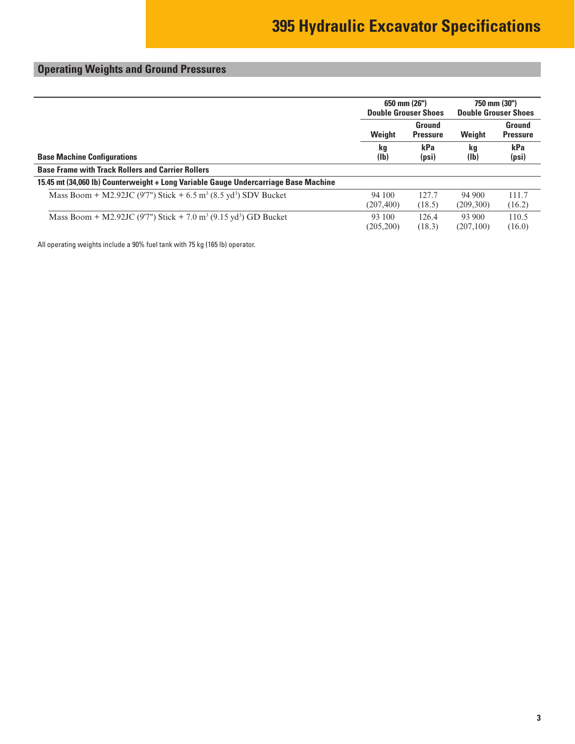# <span id="page-2-0"></span>**Operating Weights and Ground Pressures**

|                                                                                         | 650 mm (26")<br><b>Double Grouser Shoes</b> |                           | 750 mm (30")<br><b>Double Grouser Shoes</b> |                           |
|-----------------------------------------------------------------------------------------|---------------------------------------------|---------------------------|---------------------------------------------|---------------------------|
|                                                                                         | Weight                                      | Ground<br><b>Pressure</b> | Weight                                      | Ground<br><b>Pressure</b> |
| <b>Base Machine Configurations</b>                                                      | kg<br>(Ib)                                  | kPa<br>(psi)              | kg<br>(1 <sub>b</sub> )                     | kPa<br>(psi)              |
| <b>Base Frame with Track Rollers and Carrier Rollers</b>                                |                                             |                           |                                             |                           |
| 15.45 mt (34,060 lb) Counterweight + Long Variable Gauge Undercarriage Base Machine     |                                             |                           |                                             |                           |
| Mass Boom + M2.92JC (9'7") Stick + 6.5 m <sup>3</sup> (8.5 yd <sup>3</sup> ) SDV Bucket | 94 100<br>(207, 400)                        | 127.7<br>(18.5)           | 94 900<br>(209, 300)                        | 111.7<br>(16.2)           |
| Mass Boom + M2.92JC (9'7") Stick + 7.0 m <sup>3</sup> (9.15 yd <sup>3</sup> ) GD Bucket | 93 100<br>(205, 200)                        | 126.4<br>(18.3)           | 93 900<br>(207, 100)                        | 110.5<br>(16.0)           |

All operating weights include a 90% fuel tank with 75 kg (165 lb) operator.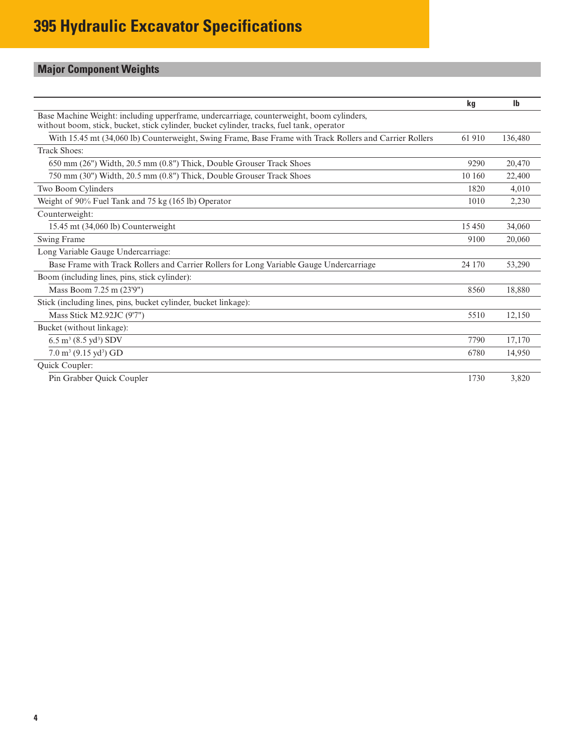# <span id="page-3-0"></span>**Major Component Weights**

|                                                                                                                                                                                       | kg     | <b>Ib</b> |
|---------------------------------------------------------------------------------------------------------------------------------------------------------------------------------------|--------|-----------|
| Base Machine Weight: including upperframe, undercarriage, counterweight, boom cylinders,<br>without boom, stick, bucket, stick cylinder, bucket cylinder, tracks, fuel tank, operator |        |           |
| With 15.45 mt (34,060 lb) Counterweight, Swing Frame, Base Frame with Track Rollers and Carrier Rollers                                                                               | 61 910 | 136,480   |
| <b>Track Shoes:</b>                                                                                                                                                                   |        |           |
| 650 mm (26") Width, 20.5 mm (0.8") Thick, Double Grouser Track Shoes                                                                                                                  | 9290   | 20,470    |
| 750 mm (30") Width, 20.5 mm (0.8") Thick, Double Grouser Track Shoes                                                                                                                  | 10 160 | 22,400    |
| Two Boom Cylinders                                                                                                                                                                    | 1820   | 4,010     |
| Weight of 90% Fuel Tank and 75 kg (165 lb) Operator                                                                                                                                   | 1010   | 2,230     |
| Counterweight:                                                                                                                                                                        |        |           |
| 15.45 mt (34,060 lb) Counterweight                                                                                                                                                    | 15450  | 34,060    |
| Swing Frame                                                                                                                                                                           | 9100   | 20,060    |
| Long Variable Gauge Undercarriage:                                                                                                                                                    |        |           |
| Base Frame with Track Rollers and Carrier Rollers for Long Variable Gauge Undercarriage                                                                                               | 24 170 | 53,290    |
| Boom (including lines, pins, stick cylinder):                                                                                                                                         |        |           |
| Mass Boom 7.25 m (23'9")                                                                                                                                                              | 8560   | 18,880    |
| Stick (including lines, pins, bucket cylinder, bucket linkage):                                                                                                                       |        |           |
| Mass Stick M2.92JC (9'7")                                                                                                                                                             | 5510   | 12,150    |
| Bucket (without linkage):                                                                                                                                                             |        |           |
| $6.5 \text{ m}^3$ (8.5 yd <sup>3</sup> ) SDV                                                                                                                                          | 7790   | 17,170    |
| $7.0 \text{ m}^3 (9.15 \text{ yd}^3)$ GD                                                                                                                                              | 6780   | 14,950    |
| Quick Coupler:                                                                                                                                                                        |        |           |
| Pin Grabber Quick Coupler                                                                                                                                                             | 1730   | 3,820     |

**4**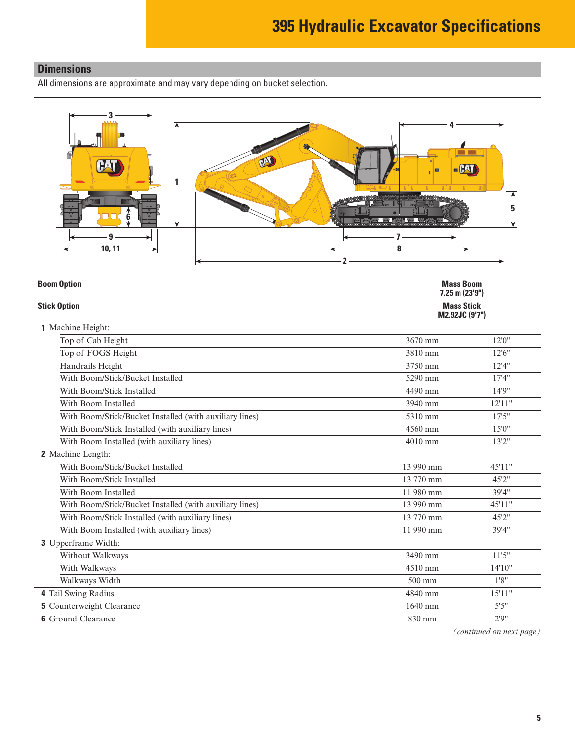# <span id="page-4-0"></span>**Dimensions**

All dimensions are approximate and may vary depending on bucket selection.



| <b>Boom Option</b><br><b>Mass Boom</b><br>7.25 m (23'9") |                                     |         |  |  |
|----------------------------------------------------------|-------------------------------------|---------|--|--|
| <b>Stick Option</b>                                      | <b>Mass Stick</b><br>M2.92JC (9'7") |         |  |  |
| 1 Machine Height:                                        |                                     |         |  |  |
| Top of Cab Height                                        | 3670 mm                             | 12'0''  |  |  |
| Top of FOGS Height                                       | 3810 mm                             | 12'6''  |  |  |
| Handrails Height                                         | 3750 mm                             | 12'4''  |  |  |
| With Boom/Stick/Bucket Installed                         | 5290 mm                             | 17'4"   |  |  |
| With Boom/Stick Installed                                | 4490 mm                             | 14'9"   |  |  |
| With Boom Installed                                      | 3940 mm                             | 12'11"  |  |  |
| With Boom/Stick/Bucket Installed (with auxiliary lines)  | 5310 mm                             | 17'5''  |  |  |
| With Boom/Stick Installed (with auxiliary lines)         | 4560 mm                             | 15'0''  |  |  |
| With Boom Installed (with auxiliary lines)               | 4010 mm                             | 13'2''  |  |  |
| 2 Machine Length:                                        |                                     |         |  |  |
| With Boom/Stick/Bucket Installed                         | 13 990 mm                           | 45'11"  |  |  |
| With Boom/Stick Installed                                | 13 770 mm                           | 45'2''  |  |  |
| With Boom Installed                                      | 11 980 mm                           | 39'4"   |  |  |
| With Boom/Stick/Bucket Installed (with auxiliary lines)  | 13 990 mm                           | 45'11"  |  |  |
| With Boom/Stick Installed (with auxiliary lines)         | 13 770 mm                           | 45'2"   |  |  |
| With Boom Installed (with auxiliary lines)               | 11 990 mm                           | 39'4"   |  |  |
| 3 Upperframe Width:                                      |                                     |         |  |  |
| Without Walkways                                         | 3490 mm                             | 11'5''  |  |  |
| With Walkways                                            | 4510 mm                             | 14'10'' |  |  |
| Walkways Width                                           | 500 mm                              | 1'8''   |  |  |
| 4 Tail Swing Radius                                      | 4840 mm                             | 15'11"  |  |  |
| <b>5</b> Counterweight Clearance                         | 1640 mm                             | 5'5''   |  |  |
| <b>6</b> Ground Clearance                                | 830 mm                              | 2.9"    |  |  |

*(continued on next page)*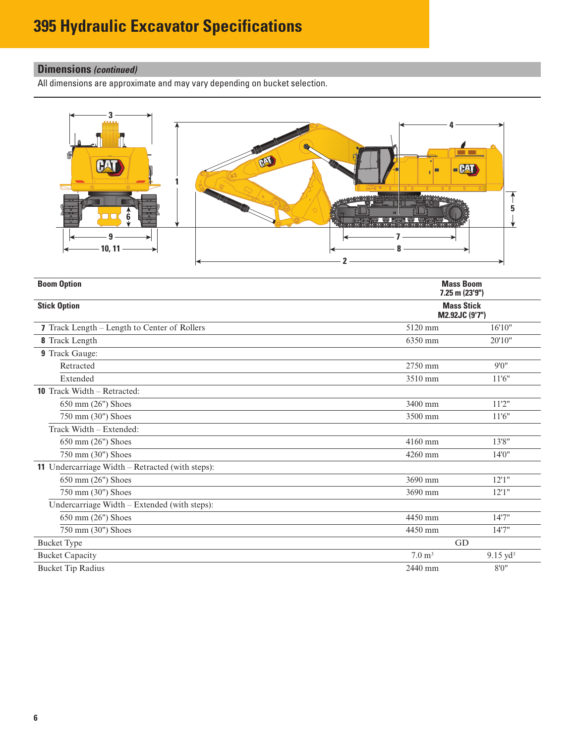# **Dimensions** *(continued)*

All dimensions are approximate and may vary depending on bucket selection.



| <b>Boom Option</b>                               | <b>Mass Boom</b>                    | $7.25$ m $(23'9'')$ |
|--------------------------------------------------|-------------------------------------|---------------------|
| <b>Stick Option</b>                              | <b>Mass Stick</b><br>M2.92JC (9'7") |                     |
| 7 Track Length – Length to Center of Rollers     | 5120 mm                             | 16'10"              |
| 8 Track Length                                   | 6350 mm                             | 20'10"              |
| 9 Track Gauge:                                   |                                     |                     |
| Retracted                                        | 2750 mm                             | 9'0''               |
| Extended                                         | 3510 mm                             | 11'6''              |
| <b>10</b> Track Width – Retracted:               |                                     |                     |
| 650 mm (26") Shoes                               | 3400 mm                             | 11'2''              |
| 750 mm (30") Shoes                               | 3500 mm                             | 11'6''              |
| Track Width - Extended:                          |                                     |                     |
| 650 mm (26") Shoes                               | 4160 mm                             | 13'8"               |
| 750 mm (30") Shoes                               | 4260 mm                             | 14'0''              |
| 11 Undercarriage Width – Retracted (with steps): |                                     |                     |
| 650 mm (26") Shoes                               | 3690 mm                             | 12'1''              |
| 750 mm (30") Shoes                               | 3690 mm                             | 12'1''              |
| Undercarriage Width – Extended (with steps):     |                                     |                     |
| 650 mm (26") Shoes                               | 4450 mm                             | 14'7''              |
| 750 mm (30") Shoes                               | 4450 mm                             | 14'7''              |
| <b>Bucket Type</b>                               | GD                                  |                     |
| <b>Bucket Capacity</b>                           | 7.0 m <sup>3</sup>                  | $9.15 \text{ yd}^3$ |
| <b>Bucket Tip Radius</b>                         | 2440 mm                             | 8'0''               |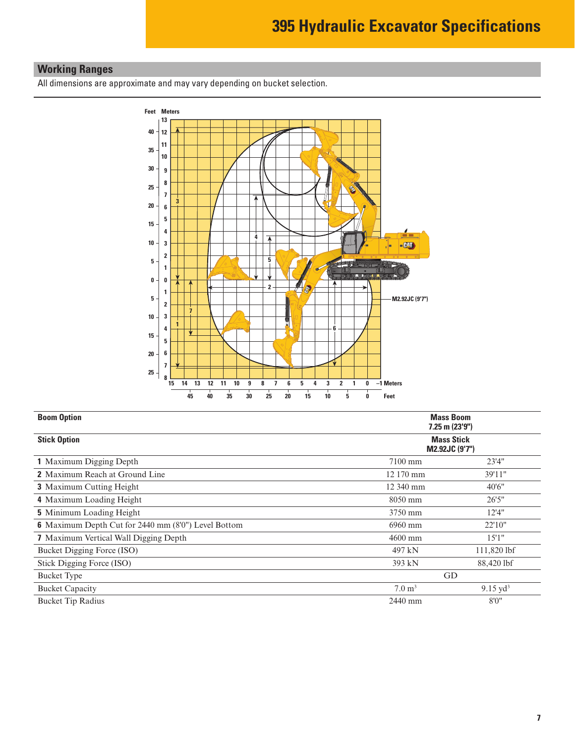# <span id="page-6-0"></span>**Working Ranges**

All dimensions are approximate and may vary depending on bucket selection.



| <b>Boom Option</b>                                  |                                     | <b>Mass Boom</b><br>7.25 m (23'9") |  |  |  |
|-----------------------------------------------------|-------------------------------------|------------------------------------|--|--|--|
| <b>Stick Option</b>                                 | <b>Mass Stick</b><br>M2.92JC (9'7") |                                    |  |  |  |
| <b>1</b> Maximum Digging Depth                      | 7100 mm                             | 23'4"                              |  |  |  |
| <b>2</b> Maximum Reach at Ground Line               | 12 170 mm                           | 39'11"                             |  |  |  |
| <b>3</b> Maximum Cutting Height                     | 12 340 mm                           | 40'6"                              |  |  |  |
| 4 Maximum Loading Height                            | $8050$ mm                           | 26'5''                             |  |  |  |
| <b>5</b> Minimum Loading Height                     | 3750 mm                             | 12'4"                              |  |  |  |
| 6 Maximum Depth Cut for 2440 mm (8'0") Level Bottom | 6960 mm                             | 22'10"                             |  |  |  |
| <b>7</b> Maximum Vertical Wall Digging Depth        | 4600 mm                             | 15'1''                             |  |  |  |
| Bucket Digging Force (ISO)                          | 497 kN                              | 111,820 lbf                        |  |  |  |
| Stick Digging Force (ISO)                           | 393 kN                              | 88,420 lbf                         |  |  |  |
| <b>Bucket Type</b>                                  | GD                                  |                                    |  |  |  |
| <b>Bucket Capacity</b>                              | $7.0 \text{ m}^3$                   | $9.15 \text{ yd}^3$                |  |  |  |
| <b>Bucket Tip Radius</b>                            | 2440 mm                             | 8'0''                              |  |  |  |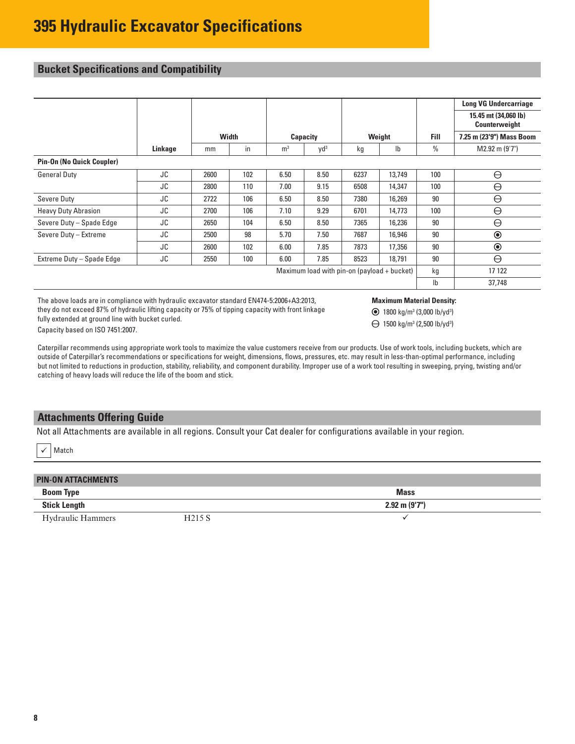# <span id="page-7-0"></span>**Bucket Specifications and Compatibility**

|                                  |         |      |              |                |                                             |        |                           |                           | <b>Long VG Undercarriage</b>          |
|----------------------------------|---------|------|--------------|----------------|---------------------------------------------|--------|---------------------------|---------------------------|---------------------------------------|
|                                  |         |      |              |                |                                             |        |                           |                           | 15.45 mt (34,060 lb)<br>Counterweight |
|                                  |         |      | <b>Width</b> | Capacity       |                                             | Weight |                           | <b>Fill</b>               | 7.25 m (23'9") Mass Boom              |
|                                  | Linkage | mm   | in           | m <sup>3</sup> | Vd <sup>3</sup>                             | kg     | $\mathsf{I}^{\mathsf{b}}$ | $\frac{0}{0}$             | M2.92 m (9'7")                        |
| <b>Pin-On (No Quick Coupler)</b> |         |      |              |                |                                             |        |                           |                           |                                       |
| <b>General Duty</b>              | JC      | 2600 | 102          | 6.50           | 8.50                                        | 6237   | 13,749                    | 100                       | $\ominus$                             |
|                                  | JC      | 2800 | 110          | 7.00           | 9.15                                        | 6508   | 14,347                    | 100                       | $\ominus$                             |
| Severe Duty                      | JC      | 2722 | 106          | 6.50           | 8.50                                        | 7380   | 16,269                    | 90                        | $\ominus$                             |
| <b>Heavy Duty Abrasion</b>       | JC      | 2700 | 106          | 7.10           | 9.29                                        | 6701   | 14,773                    | 100                       | $\ominus$                             |
| Severe Duty - Spade Edge         | JC      | 2650 | 104          | 6.50           | 8.50                                        | 7365   | 16,236                    | 90                        | $\ominus$                             |
| Severe Duty - Extreme            | JC      | 2500 | 98           | 5.70           | 7.50                                        | 7687   | 16,946                    | 90                        | $\odot$                               |
|                                  | JC      | 2600 | 102          | 6.00           | 7.85                                        | 7873   | 17,356                    | 90                        | $\circledcirc$                        |
| Extreme Duty - Spade Edge        | JC      | 2550 | 100          | 6.00           | 7.85                                        | 8523   | 18,791                    | 90                        | $\ominus$                             |
|                                  |         |      |              |                | Maximum load with pin-on (payload + bucket) |        |                           | kg                        | 17 122                                |
|                                  |         |      |              |                |                                             |        |                           | $\mathsf{I}^{\mathsf{b}}$ | 37,748                                |

The above loads are in compliance with hydraulic excavator standard EN474-5:2006+A3:2013, they do not exceed 87% of hydraulic lifting capacity or 75% of tipping capacity with front linkage fully extended at ground line with bucket curled.

Capacity based on ISO 7451:2007.

Caterpillar recommends using appropriate work tools to maximize the value customers receive from our products. Use of work tools, including buckets, which are outside of Caterpillar's recommendations or specifications for weight, dimensions, flows, pressures, etc. may result in less-than-optimal performance, including but not limited to reductions in production, stability, reliability, and component durability. Improper use of a work tool resulting in sweeping, prying, twisting and/or catching of heavy loads will reduce the life of the boom and stick.

### **Attachments Offering Guide**

Not all Attachments are available in all regions. Consult your Cat dealer for configurations available in your region.

 $\checkmark$  Match

| <b>PIN-ON ATTACHMENTS</b> |                     |                          |
|---------------------------|---------------------|--------------------------|
| <b>Boom Type</b>          |                     | <b>Mass</b>              |
| <b>Stick Length</b>       |                     | $2.92 \text{ m} (9'7'')$ |
| Hydraulic Hammers         | H <sub>2</sub> 15 S |                          |

**Maximum Material Density:** 1800 kg/m3 (3,000 lb/yd3 )

1500 kg/m3 (2,500 lb/yd3 )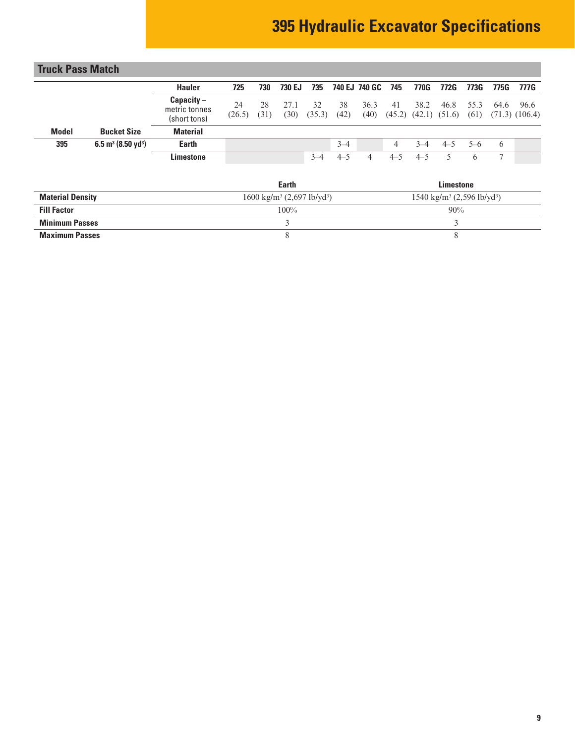# **395 Hydraulic Excavator Specifications**

<span id="page-8-0"></span>

| <b>Truck Pass Match</b> |                                   |                                               |              |            |              |              |            |               |         |         |                                    |              |      |                            |
|-------------------------|-----------------------------------|-----------------------------------------------|--------------|------------|--------------|--------------|------------|---------------|---------|---------|------------------------------------|--------------|------|----------------------------|
|                         |                                   | <b>Hauler</b>                                 | 725          | 730        | 730 EJ       | 735          |            | 740 EJ 740 GC | 745     | 770G    | 772G                               | 773G         |      | 775G 777G                  |
|                         |                                   | $Capacity -$<br>metric tonnes<br>(short tons) | 24<br>(26.5) | 28<br>(31) | 27.1<br>(30) | 32<br>(35.3) | 38<br>(42) | 36.3<br>(40)  | 41      | 38.2    | 46.8<br>$(45.2)$ $(42.1)$ $(51.6)$ | 55.3<br>(61) | 64.6 | 96.6<br>$(71.3)$ $(106.4)$ |
| <b>Model</b>            | <b>Bucket Size</b>                | <b>Material</b>                               |              |            |              |              |            |               |         |         |                                    |              |      |                            |
| 395                     | 6.5 $m^3$ (8.50 yd <sup>3</sup> ) | <b>Earth</b>                                  |              |            |              |              | $3 - 4$    |               | 4       | $3 - 4$ | $4 - 5$                            | $5-6$        | 6    |                            |
|                         |                                   | Limestone                                     |              |            |              | $3 - 4$      | $4 - 5$    | 4             | $4 - 5$ | $4 - 5$ |                                    | 6            |      |                            |
|                         |                                   |                                               |              |            |              |              |            |               |         |         |                                    |              |      |                            |

|                         | Earth                                             | Limestone                                         |
|-------------------------|---------------------------------------------------|---------------------------------------------------|
| <b>Material Density</b> | $1600 \text{ kg/m}^3$ (2,697 lb/yd <sup>3</sup> ) | $1540 \text{ kg/m}^3$ (2,596 lb/yd <sup>3</sup> ) |
| <b>Fill Factor</b>      | $100\%$                                           | $90\%$                                            |
| <b>Minimum Passes</b>   |                                                   |                                                   |
| <b>Maximum Passes</b>   |                                                   |                                                   |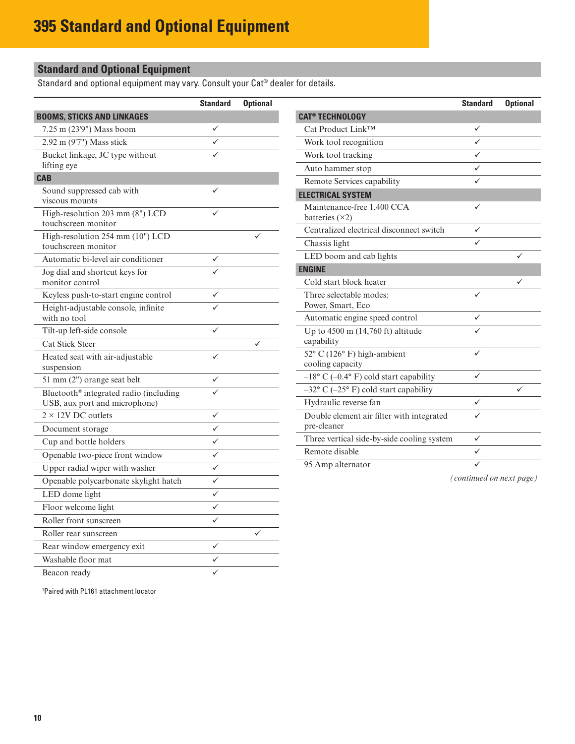# <span id="page-9-0"></span>**Standard and Optional Equipment**

Standard and optional equipment may vary. Consult your Cat<sup>®</sup> dealer for details.

|                                                                         | <b>Standard</b> | <b>Optional</b> |
|-------------------------------------------------------------------------|-----------------|-----------------|
| <b>BOOMS, STICKS AND LINKAGES</b>                                       |                 |                 |
| 7.25 m (23'9") Mass boom                                                |                 |                 |
| 2.92 m (9'7") Mass stick                                                |                 |                 |
| Bucket linkage, JC type without                                         |                 |                 |
| lifting eye                                                             |                 |                 |
| <b>CAB</b>                                                              |                 |                 |
| Sound suppressed cab with<br>viscous mounts                             | ✓               |                 |
| High-resolution 203 mm (8") LCD<br>touchscreen monitor                  |                 |                 |
| High-resolution 254 mm (10") LCD<br>touchscreen monitor                 |                 |                 |
| Automatic bi-level air conditioner                                      |                 |                 |
| Jog dial and shortcut keys for<br>monitor control                       |                 |                 |
| Keyless push-to-start engine control                                    |                 |                 |
| Height-adjustable console, infinite<br>with no tool                     |                 |                 |
| Tilt-up left-side console                                               |                 |                 |
| <b>Cat Stick Steer</b>                                                  |                 |                 |
| Heated seat with air-adjustable<br>suspension                           |                 |                 |
| 51 mm (2") orange seat belt                                             |                 |                 |
| Bluetooth® integrated radio (including<br>USB, aux port and microphone) | ✓               |                 |
| $2 \times 12V$ DC outlets                                               | ✓               |                 |
| Document storage                                                        | ✓               |                 |
| Cup and bottle holders                                                  | ✓               |                 |
| Openable two-piece front window                                         |                 |                 |
| Upper radial wiper with washer                                          | ✓               |                 |
| Openable polycarbonate skylight hatch                                   | $\checkmark$    |                 |
| LED dome light                                                          | ✓               |                 |
| Floor welcome light                                                     | ✓               |                 |
| Roller front sunscreen                                                  | ✓               |                 |
| Roller rear sunscreen                                                   |                 | ✓               |
| Rear window emergency exit                                              | ✓               |                 |
| Washable floor mat                                                      | ✓               |                 |
| Beacon ready                                                            | $\checkmark$    |                 |

|                                                          | <b>Standard</b> | <b>Optional</b> |
|----------------------------------------------------------|-----------------|-----------------|
| <b>CAT<sup>®</sup> TECHNOLOGY</b>                        |                 |                 |
| Cat Product Link™                                        | ✓               |                 |
| Work tool recognition                                    |                 |                 |
| Work tool tracking <sup>1</sup>                          |                 |                 |
| Auto hammer stop                                         |                 |                 |
| Remote Services capability                               |                 |                 |
| <b>ELECTRICAL SYSTEM</b>                                 |                 |                 |
| Maintenance-free 1,400 CCA<br>batteries $(\times 2)$     | ✓               |                 |
| Centralized electrical disconnect switch                 | $\checkmark$    |                 |
| Chassis light                                            |                 |                 |
| LED boom and cab lights                                  |                 |                 |
| <b>ENGINE</b>                                            |                 |                 |
| Cold start block heater                                  |                 |                 |
| Three selectable modes:                                  |                 |                 |
| Power, Smart, Eco                                        |                 |                 |
| Automatic engine speed control                           |                 |                 |
| Up to $4500$ m $(14,760$ ft) altitude<br>capability      |                 |                 |
| 52° C (126° F) high-ambient<br>cooling capacity          |                 |                 |
| $-18$ ° C (-0.4° F) cold start capability                |                 |                 |
| $-32^{\circ}$ C ( $-25^{\circ}$ F) cold start capability |                 |                 |
| Hydraulic reverse fan                                    | ✓               |                 |
| Double element air filter with integrated<br>pre-cleaner |                 |                 |
| Three vertical side-by-side cooling system               | ✓               |                 |
| Remote disable                                           |                 |                 |
| 95 Amp alternator                                        | ✓               |                 |

*(continued on next page)*

1 Paired with PL161 attachment locator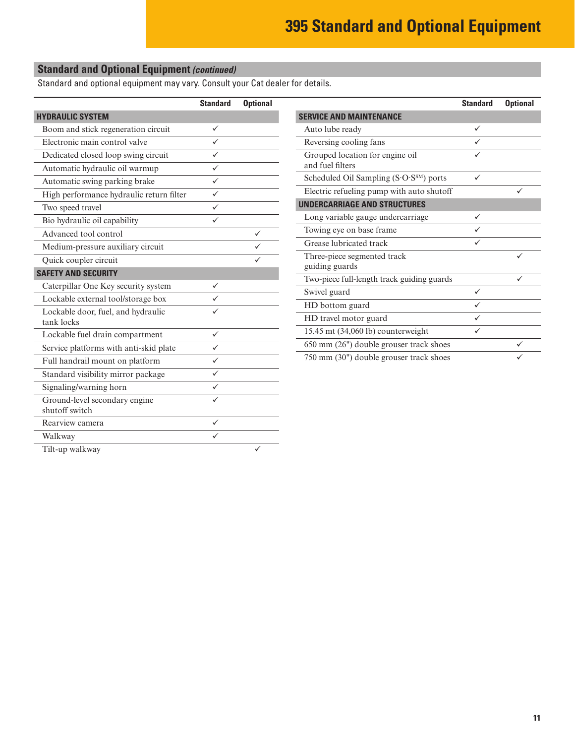# **Standard and Optional Equipment** *(continued)*

Standard and optional equipment may vary. Consult your Cat dealer for details.

|                                                  | <b>Standard</b> | <b>Optional</b> |                                   |
|--------------------------------------------------|-----------------|-----------------|-----------------------------------|
| <b>HYDRAULIC SYSTEM</b>                          |                 |                 | <b>SERVICE AND MA</b>             |
| Boom and stick regeneration circuit              | $\checkmark$    |                 | Auto lube ready                   |
| Electronic main control valve                    | ✓               |                 | Reversing cooli                   |
| Dedicated closed loop swing circuit              | ✓               |                 | Grouped locati                    |
| Automatic hydraulic oil warmup                   | ✓               |                 | and fuel filters                  |
| Automatic swing parking brake                    | ✓               |                 | Scheduled Oil S                   |
| High performance hydraulic return filter         | $\checkmark$    |                 | Electric refuelir                 |
| Two speed travel                                 | ✓               |                 | UNDERCARRIAGE                     |
| Bio hydraulic oil capability                     | ✓               |                 | Long variable g                   |
| Advanced tool control                            |                 | ✓               | Towing eye on                     |
| Medium-pressure auxiliary circuit                |                 | ✓               | Grease lubricat                   |
| Quick coupler circuit                            |                 | $\checkmark$    | Three-piece seg<br>guiding guards |
| <b>SAFETY AND SECURITY</b>                       |                 |                 | Two-piece full-l                  |
| Caterpillar One Key security system              | ✓               |                 | Swivel guard                      |
| Lockable external tool/storage box               | ✓               |                 | HD bottom gua                     |
| Lockable door, fuel, and hydraulic<br>tank locks | ✓               |                 | HD travel moto                    |
| Lockable fuel drain compartment                  | $\checkmark$    |                 | 15.45 mt (34,06                   |
| Service platforms with anti-skid plate           | ✓               |                 | 650 mm (26") d                    |
| Full handrail mount on platform                  | ✓               |                 | 750 mm (30") d                    |
| Standard visibility mirror package               | ✓               |                 |                                   |
| Signaling/warning horn                           | $\checkmark$    |                 |                                   |
| Ground-level secondary engine<br>shutoff switch  | $\checkmark$    |                 |                                   |
| Rearview camera                                  | ✓               |                 |                                   |
| Walkway                                          | ✓               |                 |                                   |
| Tilt-up walkway                                  |                 | ✓               |                                   |

|                                                     | <b>Standard</b> | <b>Optional</b> |
|-----------------------------------------------------|-----------------|-----------------|
| <b>SERVICE AND MAINTENANCE</b>                      |                 |                 |
| Auto lube ready                                     | ✓               |                 |
| Reversing cooling fans                              |                 |                 |
| Grouped location for engine oil<br>and fuel filters |                 |                 |
| Scheduled Oil Sampling (S.O.S <sup>SM</sup> ) ports | ✓               |                 |
| Electric refueling pump with auto shutoff           |                 |                 |
| <b>UNDERCARRIAGE AND STRUCTURES</b>                 |                 |                 |
| Long variable gauge undercarriage                   |                 |                 |
| Towing eye on base frame                            |                 |                 |
| Grease lubricated track                             |                 |                 |
| Three-piece segmented track<br>guiding guards       |                 |                 |
| Two-piece full-length track guiding guards          |                 |                 |
| Swivel guard                                        | ✓               |                 |
| HD bottom guard                                     |                 |                 |
| HD travel motor guard                               |                 |                 |
| $15.45$ mt $(34,060$ lb) counterweight              |                 |                 |
| 650 mm (26") double grouser track shoes             |                 |                 |
| 750 mm (30") double grouser track shoes             |                 |                 |